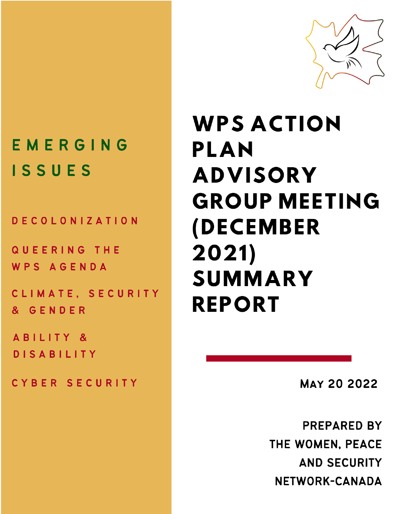

## EMERGING ISSUES

**DECOLONIZATION** 

QUEERING THE WPS AGENDA

CLIMATE, SECURITY & GENDER

ABILITY & **DISABILITY** 

CYBER SECURITY

# **WPS ACTION** PLAN **ADVISORY GROUP MEETING (DECEMBER**  $2021)$ **SUMMARY REPORT**

**MAY 20 2022** 

**PREPARED BY** THE WOMEN, PEACE **AND SECURITY** NETWORK-CANADA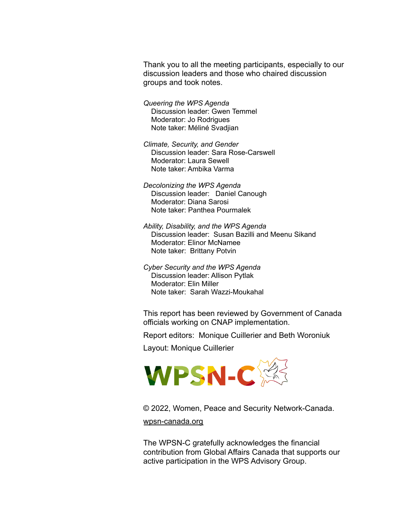Thank you to all the meeting participants, especially to our discussion leaders and those who chaired discussion groups and took notes.

*Queering the WPS Agenda* Discussion leader: Gwen Temmel Moderator: Jo Rodrigues Note taker: Méliné Svadjian

*Climate, Security, and Gender* Discussion leader: Sara Rose-Carswell Moderator: Laura Sewell Note taker: Ambika Varma

*Decolonizing the WPS Agenda* Discussion leader: Daniel Canough Moderator: Diana Sarosi Note taker: Panthea Pourmalek

*Ability, Disability, and the WPS Agenda* Discussion leader: Susan Bazilli and Meenu Sikand Moderator: Elinor McNamee Note taker: Brittany Potvin

*Cyber Security and the WPS Agenda* Discussion leader: Allison Pytlak Moderator: Elin Miller Note taker: Sarah Wazzi-Moukahal

This report has been reviewed by Government of Canada officials working on CNAP implementation.

Report editors: Monique Cuillerier and Beth Woroniuk

Layout: Monique Cuillerier



© 2022, Women, Peace and Security Network-Canada. [wpsn-canada.org](http://wpsn-canada.org/)

The WPSN-C gratefully acknowledges the financial contribution from Global Affairs Canada that supports our active participation in the WPS Advisory Group.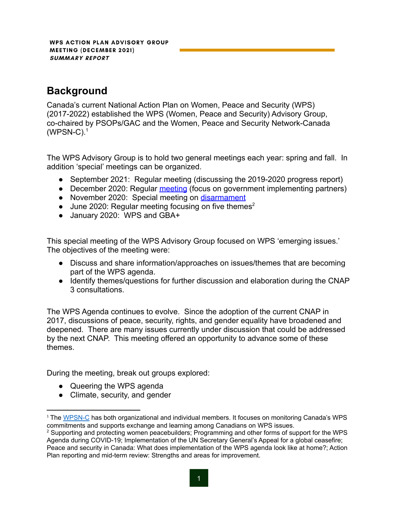## **Background**

Canada's current National Action Plan on Women, Peace and Security (WPS) (2017-2022) established the WPS (Women, Peace and Security) Advisory Group, co-chaired by PSOPs/GAC and the Women, Peace and Security Network-Canada  $(WPSN-C).<sup>1</sup>$ 

The WPS Advisory Group is to hold two general meetings each year: spring and fall. In addition 'special' meetings can be organized.

- September 2021: Regular meeting (discussing the 2019-2020 progress report)
- December 2020: Regular [meeting](https://wpsn-canada.org/wp-content/uploads/2021/05/WPS-Action-Plan-Advisory-Group-Meeting-Dec-2020-final.pdf) (focus on government implementing partners)
- November 2020: Special meeting on [disarmament](https://wpsn-canada.org/wp-content/uploads/2021/05/WPSA-Disarmament-Nov-Meeting-final-2.pdf)
- June 2020: Regular meeting focusing on five themes<sup>2</sup>
- January 2020: WPS and GBA+

This special meeting of the WPS Advisory Group focused on WPS 'emerging issues.' The objectives of the meeting were:

- Discuss and share information/approaches on issues/themes that are becoming part of the WPS agenda.
- Identify themes/questions for further discussion and elaboration during the CNAP 3 consultations.

The WPS Agenda continues to evolve. Since the adoption of the current CNAP in 2017, discussions of peace, security, rights, and gender equality have broadened and deepened. There are many issues currently under discussion that could be addressed by the next CNAP. This meeting offered an opportunity to advance some of these themes.

During the meeting, break out groups explored:

- Queering the WPS agenda
- Climate, security, and gender

<sup>&</sup>lt;sup>1</sup> The [WPSN-C](https://wpsn-canada.org/) has both organizational and individual members. It focuses on monitoring Canada's WPS commitments and supports exchange and learning among Canadians on WPS issues.

<sup>&</sup>lt;sup>2</sup> Supporting and protecting women peacebuilders; Programming and other forms of support for the WPS Agenda during COVID-19; Implementation of the UN Secretary General's Appeal for a global ceasefire; Peace and security in Canada: What does implementation of the WPS agenda look like at home?; Action Plan reporting and mid-term review: Strengths and areas for improvement.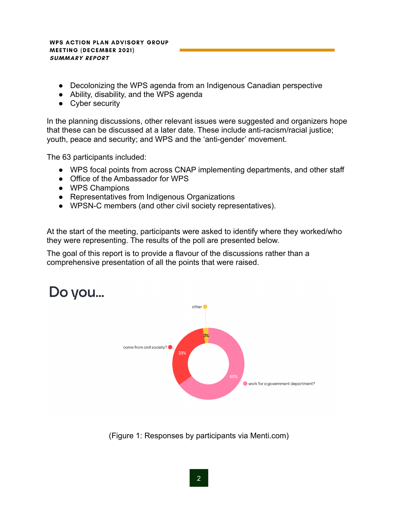- Decolonizing the WPS agenda from an Indigenous Canadian perspective
- Ability, disability, and the WPS agenda
- Cyber security

In the planning discussions, other relevant issues were suggested and organizers hope that these can be discussed at a later date. These include anti-racism/racial justice; youth, peace and security; and WPS and the 'anti-gender' movement.

The 63 participants included:

- WPS focal points from across CNAP implementing departments, and other staff
- Office of the Ambassador for WPS
- WPS Champions
- Representatives from Indigenous Organizations
- WPSN-C members (and other civil society representatives).

At the start of the meeting, participants were asked to identify where they worked/who they were representing. The results of the poll are presented below.

The goal of this report is to provide a flavour of the discussions rather than a comprehensive presentation of all the points that were raised.



(Figure 1: Responses by participants via Menti.com)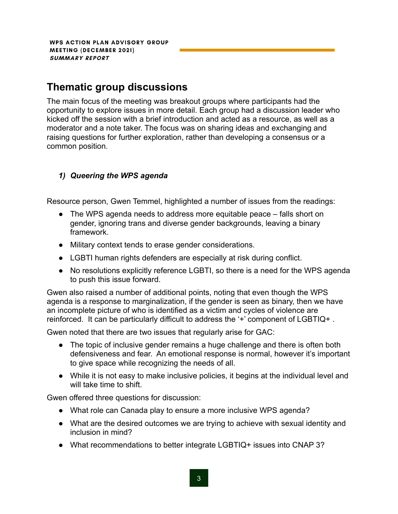### **Thematic group discussions**

The main focus of the meeting was breakout groups where participants had the opportunity to explore issues in more detail. Each group had a discussion leader who kicked off the session with a brief introduction and acted as a resource, as well as a moderator and a note taker. The focus was on sharing ideas and exchanging and raising questions for further exploration, rather than developing a consensus or a common position.

#### *1) Queering the WPS agenda*

Resource person, Gwen Temmel, highlighted a number of issues from the readings:

- The WPS agenda needs to address more equitable peace falls short on gender, ignoring trans and diverse gender backgrounds, leaving a binary framework.
- Military context tends to erase gender considerations.
- LGBTI human rights defenders are especially at risk during conflict.
- No resolutions explicitly reference LGBTI, so there is a need for the WPS agenda to push this issue forward.

Gwen also raised a number of additional points, noting that even though the WPS agenda is a response to marginalization, if the gender is seen as binary, then we have an incomplete picture of who is identified as a victim and cycles of violence are reinforced. It can be particularly difficult to address the '+' component of LGBTIQ+ .

Gwen noted that there are two issues that regularly arise for GAC:

- The topic of inclusive gender remains a huge challenge and there is often both defensiveness and fear. An emotional response is normal, however it's important to give space while recognizing the needs of all.
- While it is not easy to make inclusive policies, it begins at the individual level and will take time to shift.

Gwen offered three questions for discussion:

- What role can Canada play to ensure a more inclusive WPS agenda?
- What are the desired outcomes we are trying to achieve with sexual identity and inclusion in mind?
- What recommendations to better integrate LGBTIQ+ issues into CNAP 3?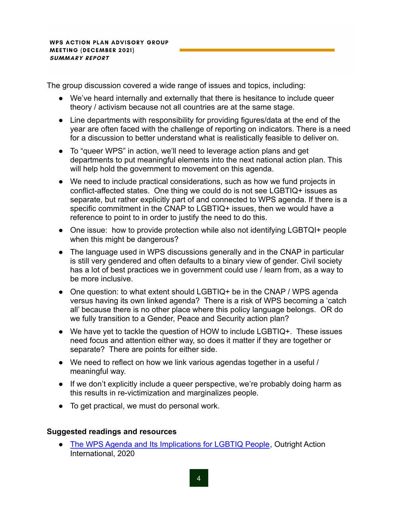The group discussion covered a wide range of issues and topics, including:

- We've heard internally and externally that there is hesitance to include queer theory / activism because not all countries are at the same stage.
- Line departments with responsibility for providing figures/data at the end of the year are often faced with the challenge of reporting on indicators. There is a need for a discussion to better understand what is realistically feasible to deliver on.
- To "queer WPS" in action, we'll need to leverage action plans and get departments to put meaningful elements into the next national action plan. This will help hold the government to movement on this agenda.
- We need to include practical considerations, such as how we fund projects in conflict-affected states. One thing we could do is not see LGBTIQ+ issues as separate, but rather explicitly part of and connected to WPS agenda. If there is a specific commitment in the CNAP to LGBTIQ+ issues, then we would have a reference to point to in order to justify the need to do this.
- One issue: how to provide protection while also not identifying LGBTQI+ people when this might be dangerous?
- The language used in WPS discussions generally and in the CNAP in particular is still very gendered and often defaults to a binary view of gender. Civil society has a lot of best practices we in government could use / learn from, as a way to be more inclusive.
- One question: to what extent should LGBTIQ+ be in the CNAP / WPS agenda versus having its own linked agenda? There is a risk of WPS becoming a 'catch all' because there is no other place where this policy language belongs. OR do we fully transition to a Gender, Peace and Security action plan?
- We have yet to tackle the question of HOW to include LGBTIQ+. These issues need focus and attention either way, so does it matter if they are together or separate? There are points for either side.
- We need to reflect on how we link various agendas together in a useful / meaningful way.
- If we don't explicitly include a queer perspective, we're probably doing harm as this results in re-victimization and marginalizes people.
- To get practical, we must do personal work.

#### **Suggested readings and resources**

● [The WPS Agenda and Its Implications for LGBTIQ People](https://outrightinternational.org/content/women-peace-and-security-agenda-and-its-implications-lgbtiq-people), Outright Action International, 2020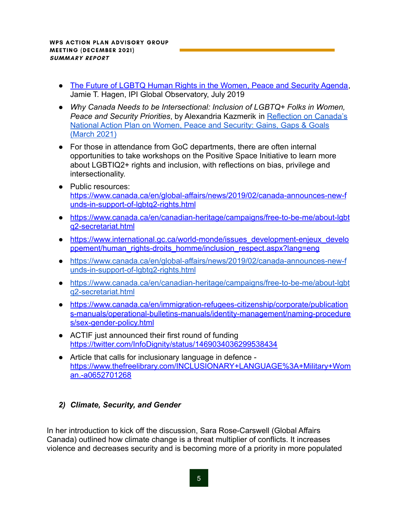- [The Future of LGBTQ Human Rights in the Women, Peace and Security Agenda,](https://theglobalobservatory.org/2019/07/the-future-of-lgbtq-human-rights-in-the-women-peace-and-security-agenda/) Jamie T. Hagen, IPI Global Observatory, July 2019
- *Why Canada Needs to be Intersectional: Inclusion of LGBTQ+ Folks in Women, Peace and Security Priorities*, by Alexandria Kazmerik in [Reflection on Canada's](https://wpsn-canada.org/wp-content/uploads/2021/03/WPSNC_CNAP-WPS-Gains-Gaps-Goals_March-2021-4.pdf) [National Action Plan on Women, Peace and Security: Gains, Gaps & Goals](https://wpsn-canada.org/wp-content/uploads/2021/03/WPSNC_CNAP-WPS-Gains-Gaps-Goals_March-2021-4.pdf) [\(March 2021\)](https://wpsn-canada.org/wp-content/uploads/2021/03/WPSNC_CNAP-WPS-Gains-Gaps-Goals_March-2021-4.pdf)
- For those in attendance from GoC departments, there are often internal opportunities to take workshops on the Positive Space Initiative to learn more about LGBTIQ2+ rights and inclusion, with reflections on bias, privilege and intersectionality.
- Public resources: [https://www.canada.ca/en/global-affairs/news/2019/02/canada-announces-new-f](https://www.canada.ca/en/global-affairs/news/2019/02/canada-announces-new-funds-in-support-of-lgbtq2-rights.html) [unds-in-support-of-lgbtq2-rights.html](https://www.canada.ca/en/global-affairs/news/2019/02/canada-announces-new-funds-in-support-of-lgbtq2-rights.html)
- [https://www.canada.ca/en/canadian-heritage/campaigns/free-to-be-me/about-lgbt](https://www.canada.ca/en/canadian-heritage/campaigns/free-to-be-me/about-lgbtq2-secretariat.html) [q2-secretariat.html](https://www.canada.ca/en/canadian-heritage/campaigns/free-to-be-me/about-lgbtq2-secretariat.html)
- [https://www.international.gc.ca/world-monde/issues\\_development-enjeux\\_develo](https://www.international.gc.ca/world-monde/issues_development-enjeux_developpement/human_rights-droits_homme/inclusion_respect.aspx?lang=eng) [ppement/human\\_rights-droits\\_homme/inclusion\\_respect.aspx?lang=eng](https://www.international.gc.ca/world-monde/issues_development-enjeux_developpement/human_rights-droits_homme/inclusion_respect.aspx?lang=eng)
- [https://www.canada.ca/en/global-affairs/news/2019/02/canada-announces-new-f](https://www.canada.ca/en/global-affairs/news/2019/02/canada-announces-new-funds-in-support-of-lgbtq2-rights.html) [unds-in-support-of-lgbtq2-rights.html](https://www.canada.ca/en/global-affairs/news/2019/02/canada-announces-new-funds-in-support-of-lgbtq2-rights.html)
- [https://www.canada.ca/en/canadian-heritage/campaigns/free-to-be-me/about-lgbt](https://www.canada.ca/en/canadian-heritage/campaigns/free-to-be-me/about-lgbtq2-secretariat.html) [q2-secretariat.html](https://www.canada.ca/en/canadian-heritage/campaigns/free-to-be-me/about-lgbtq2-secretariat.html)
- [https://www.canada.ca/en/immigration-refugees-citizenship/corporate/publication](https://www.canada.ca/en/immigration-refugees-citizenship/corporate/publications-manuals/operational-bulletins-manuals/identity-management/naming-procedures/sex-gender-policy.html) [s-manuals/operational-bulletins-manuals/identity-management/naming-procedure](https://www.canada.ca/en/immigration-refugees-citizenship/corporate/publications-manuals/operational-bulletins-manuals/identity-management/naming-procedures/sex-gender-policy.html) [s/sex-gender-policy.html](https://www.canada.ca/en/immigration-refugees-citizenship/corporate/publications-manuals/operational-bulletins-manuals/identity-management/naming-procedures/sex-gender-policy.html)
- ACTIF just announced their first round of funding <https://twitter.com/InfoDignity/status/1469034036299538434>
- Article that calls for inclusionary language in defence [https://www.thefreelibrary.com/INCLUSIONARY+LANGUAGE%3A+Military+Wom](https://www.thefreelibrary.com/INCLUSIONARY+LANGUAGE%3A+Military+Woman.-a0652701268) [an.-a0652701268](https://www.thefreelibrary.com/INCLUSIONARY+LANGUAGE%3A+Military+Woman.-a0652701268)

#### *2) Climate, Security, and Gender*

In her introduction to kick off the discussion, Sara Rose-Carswell (Global Affairs Canada) outlined how climate change is a threat multiplier of conflicts. It increases violence and decreases security and is becoming more of a priority in more populated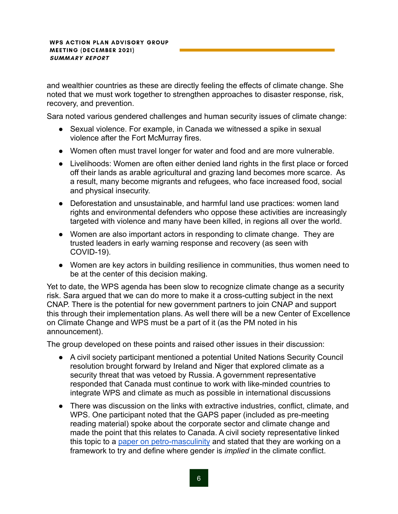and wealthier countries as these are directly feeling the effects of climate change. She noted that we must work together to strengthen approaches to disaster response, risk, recovery, and prevention.

Sara noted various gendered challenges and human security issues of climate change:

- Sexual violence. For example, in Canada we witnessed a spike in sexual violence after the Fort McMurray fires.
- Women often must travel longer for water and food and are more vulnerable.
- Livelihoods: Women are often either denied land rights in the first place or forced off their lands as arable agricultural and grazing land becomes more scarce. As a result, many become migrants and refugees, who face increased food, social and physical insecurity.
- Deforestation and unsustainable, and harmful land use practices: women land rights and environmental defenders who oppose these activities are increasingly targeted with violence and many have been killed, in regions all over the world.
- Women are also important actors in responding to climate change. They are trusted leaders in early warning response and recovery (as seen with COVID-19).
- Women are key actors in building resilience in communities, thus women need to be at the center of this decision making.

Yet to date, the WPS agenda has been slow to recognize climate change as a security risk. Sara argued that we can do more to make it a cross-cutting subject in the next CNAP. There is the potential for new government partners to join CNAP and support this through their implementation plans. As well there will be a new Center of Excellence on Climate Change and WPS must be a part of it (as the PM noted in his announcement).

The group developed on these points and raised other issues in their discussion:

- A civil society participant mentioned a potential United Nations Security Council resolution brought forward by Ireland and Niger that explored climate as a security threat that was vetoed by Russia. A government representative responded that Canada must continue to work with like-minded countries to integrate WPS and climate as much as possible in international discussions
- There was discussion on the links with extractive industries, conflict, climate, and WPS. One participant noted that the GAPS paper (included as pre-meeting reading material) spoke about the corporate sector and climate change and made the point that this relates to Canada. A civil society representative linked this topic to a [paper on petro-masculinity](https://journals.sagepub.com/doi/full/10.1177/0305829818775817) and stated that they are working on a framework to try and define where gender is *implied* in the climate conflict.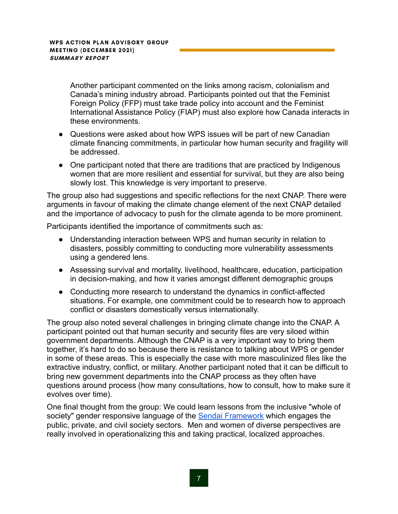Another participant commented on the links among racism, colonialism and Canada's mining industry abroad. Participants pointed out that the Feminist Foreign Policy (FFP) must take trade policy into account and the Feminist International Assistance Policy (FIAP) must also explore how Canada interacts in these environments.

- Questions were asked about how WPS issues will be part of new Canadian climate financing commitments, in particular how human security and fragility will be addressed.
- One participant noted that there are traditions that are practiced by Indigenous women that are more resilient and essential for survival, but they are also being slowly lost. This knowledge is very important to preserve.

The group also had suggestions and specific reflections for the next CNAP. There were arguments in favour of making the climate change element of the next CNAP detailed and the importance of advocacy to push for the climate agenda to be more prominent.

Participants identified the importance of commitments such as:

- Understanding interaction between WPS and human security in relation to disasters, possibly committing to conducting more vulnerability assessments using a gendered lens.
- Assessing survival and mortality, livelihood, healthcare, education, participation in decision-making, and how it varies amongst different demographic groups
- Conducting more research to understand the dynamics in conflict-affected situations. For example, one commitment could be to research how to approach conflict or disasters domestically versus internationally.

The group also noted several challenges in bringing climate change into the CNAP. A participant pointed out that human security and security files are very siloed within government departments. Although the CNAP is a very important way to bring them together, it's hard to do so because there is resistance to talking about WPS or gender in some of these areas. This is especially the case with more masculinized files like the extractive industry, conflict, or military. Another participant noted that it can be difficult to bring new government departments into the CNAP process as they often have questions around process (how many consultations, how to consult, how to make sure it evolves over time).

One final thought from the group: We could learn lessons from the inclusive "whole of society" gender responsive language of the Sendai [Framework](https://www.undrr.org/implementing-sendai-framework/what-sendai-framework) which engages the public, private, and civil society sectors. Men and women of diverse perspectives are really involved in operationalizing this and taking practical, localized approaches.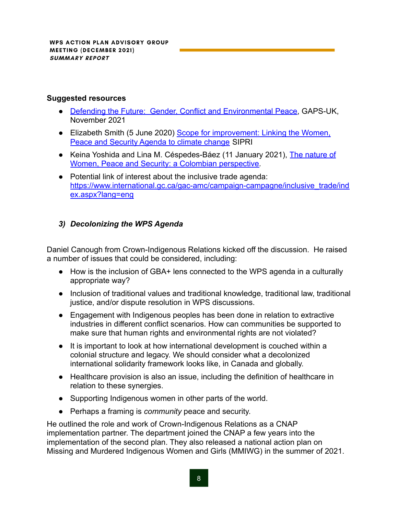#### **Suggested resources**

- [Defending the Future: Gender, Conflict and Environmental Peace,](https://gaps-uk.org/policy-brief-defending-the-future-gender-conflict-and-environmental-peace/) GAPS-UK, November 2021
- Elizabeth Smith (5 June 2020) [Scope for improvement:](https://www.sipri.org/commentary/essay/2020/scope-improvement-linking-women-peace-and-security-agenda-climate-change) Linking the Women, [Peace and Security Agenda to climate change](https://www.sipri.org/commentary/essay/2020/scope-improvement-linking-women-peace-and-security-agenda-climate-change) SIPRI
- Keina Yoshida and Lina M. Céspedes-Báez (11 January 2021), [The nature of](https://academic.oup.com/ia/article/97/1/17/6041490) [Women, Peace and Security: a Colombian perspective.](https://academic.oup.com/ia/article/97/1/17/6041490)
- Potential link of interest about the inclusive trade agenda: [https://www.international.gc.ca/gac-amc/campaign-campagne/inclusive\\_trade/ind](https://www.international.gc.ca/gac-amc/campaign-campagne/inclusive_trade/index.aspx?lang=eng) [ex.aspx?lang=eng](https://www.international.gc.ca/gac-amc/campaign-campagne/inclusive_trade/index.aspx?lang=eng)

#### *3) Decolonizing the WPS Agenda*

Daniel Canough from Crown-Indigenous Relations kicked off the discussion. He raised a number of issues that could be considered, including:

- How is the inclusion of GBA+ lens connected to the WPS agenda in a culturally appropriate way?
- Inclusion of traditional values and traditional knowledge, traditional law, traditional justice, and/or dispute resolution in WPS discussions.
- Engagement with Indigenous peoples has been done in relation to extractive industries in different conflict scenarios. How can communities be supported to make sure that human rights and environmental rights are not violated?
- It is important to look at how international development is couched within a colonial structure and legacy. We should consider what a decolonized international solidarity framework looks like, in Canada and globally.
- Healthcare provision is also an issue, including the definition of healthcare in relation to these synergies.
- Supporting Indigenous women in other parts of the world.
- Perhaps a framing is *community* peace and security.

He outlined the role and work of Crown-Indigenous Relations as a CNAP implementation partner. The department joined the CNAP a few years into the implementation of the second plan. They also released a national action plan on Missing and Murdered Indigenous Women and Girls (MMIWG) in the summer of 2021.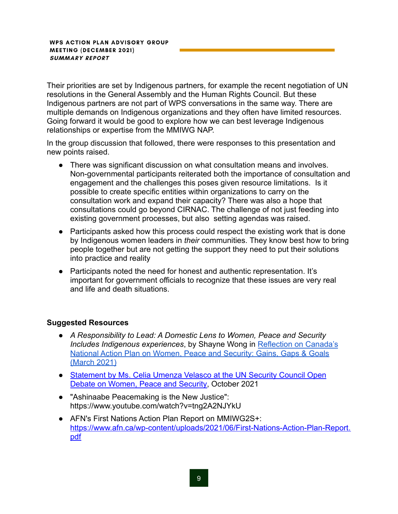Their priorities are set by Indigenous partners, for example the recent negotiation of UN resolutions in the General Assembly and the Human Rights Council. But these Indigenous partners are not part of WPS conversations in the same way. There are multiple demands on Indigenous organizations and they often have limited resources. Going forward it would be good to explore how we can best leverage Indigenous relationships or expertise from the MMIWG NAP.

In the group discussion that followed, there were responses to this presentation and new points raised.

- There was significant discussion on what consultation means and involves. Non-governmental participants reiterated both the importance of consultation and engagement and the challenges this poses given resource limitations. Is it possible to create specific entities within organizations to carry on the consultation work and expand their capacity? There was also a hope that consultations could go beyond CIRNAC. The challenge of not just feeding into existing government processes, but also setting agendas was raised.
- Participants asked how this process could respect the existing work that is done by Indigenous women leaders in *their* communities. They know best how to bring people together but are not getting the support they need to put their solutions into practice and reality
- Participants noted the need for honest and authentic representation. It's important for government officials to recognize that these issues are very real and life and death situations.

#### **Suggested Resources**

- *A Responsibility to Lead: A Domestic Lens to Women, Peace and Security Includes Indigenous experiences*, by Shayne Wong in [Reflection on Canada's](https://wpsn-canada.org/wp-content/uploads/2021/03/WPSNC_CNAP-WPS-Gains-Gaps-Goals_March-2021-4.pdf) [National Action Plan on Women, Peace and Security: Gains, Gaps & Goals](https://wpsn-canada.org/wp-content/uploads/2021/03/WPSNC_CNAP-WPS-Gains-Gaps-Goals_March-2021-4.pdf) [\(March 2021\)](https://wpsn-canada.org/wp-content/uploads/2021/03/WPSNC_CNAP-WPS-Gains-Gaps-Goals_March-2021-4.pdf)
- [Statement by Ms. Celia Umenza Velasco at the UN Security Council Open](https://www.womenpeacesecurity.org/resource/statement-unsc-wps-open-debate-october-2021/) [Debate on Women, Peace and Security,](https://www.womenpeacesecurity.org/resource/statement-unsc-wps-open-debate-october-2021/) October 2021
- "Ashinaabe Peacemaking is the New Justice": <https://www.youtube.com/watch?v=tng2A2NJYkU>
- AFN's First Nations Action Plan Report on MMIWG2S+: [https://www.afn.ca/wp-content/uploads/2021/06/First-Nations-Action-Plan-Report.](https://www.afn.ca/wp-content/uploads/2021/06/First-Nations-Action-Plan-Report.pdf) [pdf](https://www.afn.ca/wp-content/uploads/2021/06/First-Nations-Action-Plan-Report.pdf)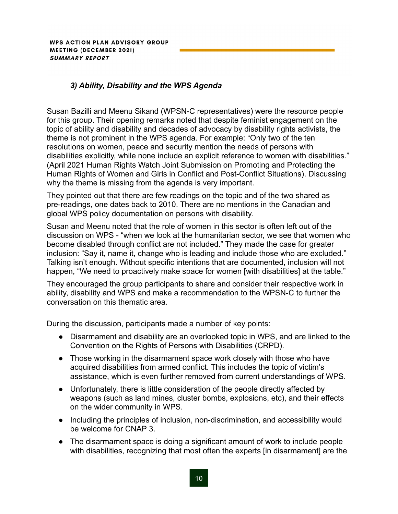WPS ACTION PLAN ADVISORY GROUP **MEETING (DECEMBER 2021) SUMMARY REPORT** 

#### *3) Ability, Disability and the WPS Agenda*

Susan Bazilli and Meenu Sikand (WPSN-C representatives) were the resource people for this group. Their opening remarks noted that despite feminist engagement on the topic of ability and disability and decades of advocacy by disability rights activists, the theme is not prominent in the WPS agenda. For example: "Only two of the ten resolutions on women, peace and security mention the needs of persons with disabilities explicitly, while none include an explicit reference to women with disabilities." (April 2021 Human Rights Watch Joint Submission on Promoting and Protecting the Human Rights of Women and Girls in Conflict and Post-Conflict Situations). Discussing why the theme is missing from the agenda is very important.

They pointed out that there are few readings on the topic and of the two shared as pre-readings, one dates back to 2010. There are no mentions in the Canadian and global WPS policy documentation on persons with disability.

Susan and Meenu noted that the role of women in this sector is often left out of the discussion on WPS - "when we look at the humanitarian sector, we see that women who become disabled through conflict are not included." They made the case for greater inclusion: "Say it, name it, change who is leading and include those who are excluded." Talking isn't enough. Without specific intentions that are documented, inclusion will not happen, "We need to proactively make space for women [with disabilities] at the table."

They encouraged the group participants to share and consider their respective work in ability, disability and WPS and make a recommendation to the WPSN-C to further the conversation on this thematic area.

During the discussion, participants made a number of key points:

- Disarmament and disability are an overlooked topic in WPS, and are linked to the Convention on the Rights of Persons with Disabilities (CRPD).
- Those working in the disarmament space work closely with those who have acquired disabilities from armed conflict. This includes the topic of victim's assistance, which is even further removed from current understandings of WPS.
- Unfortunately, there is little consideration of the people directly affected by weapons (such as land mines, cluster bombs, explosions, etc), and their effects on the wider community in WPS.
- Including the principles of inclusion, non-discrimination, and accessibility would be welcome for CNAP 3.
- The disarmament space is doing a significant amount of work to include people with disabilities, recognizing that most often the experts [in disarmament] are the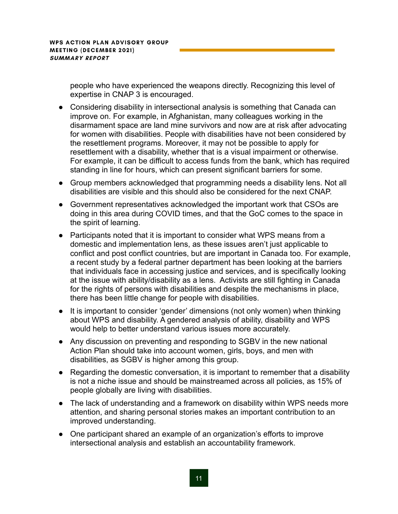people who have experienced the weapons directly. Recognizing this level of expertise in CNAP 3 is encouraged.

- Considering disability in intersectional analysis is something that Canada can improve on. For example, in Afghanistan, many colleagues working in the disarmament space are land mine survivors and now are at risk after advocating for women with disabilities. People with disabilities have not been considered by the resettlement programs. Moreover, it may not be possible to apply for resettlement with a disability, whether that is a visual impairment or otherwise. For example, it can be difficult to access funds from the bank, which has required standing in line for hours, which can present significant barriers for some.
- Group members acknowledged that programming needs a disability lens. Not all disabilities are visible and this should also be considered for the next CNAP.
- Government representatives acknowledged the important work that CSOs are doing in this area during COVID times, and that the GoC comes to the space in the spirit of learning.
- Participants noted that it is important to consider what WPS means from a domestic and implementation lens, as these issues aren't just applicable to conflict and post conflict countries, but are important in Canada too. For example, a recent study by a federal partner department has been looking at the barriers that individuals face in accessing justice and services, and is specifically looking at the issue with ability/disability as a lens. Activists are still fighting in Canada for the rights of persons with disabilities and despite the mechanisms in place, there has been little change for people with disabilities.
- It is important to consider 'gender' dimensions (not only women) when thinking about WPS and disability. A gendered analysis of ability, disability and WPS would help to better understand various issues more accurately.
- Any discussion on preventing and responding to SGBV in the new national Action Plan should take into account women, girls, boys, and men with disabilities, as SGBV is higher among this group.
- Regarding the domestic conversation, it is important to remember that a disability is not a niche issue and should be mainstreamed across all policies, as 15% of people globally are living with disabilities.
- The lack of understanding and a framework on disability within WPS needs more attention, and sharing personal stories makes an important contribution to an improved understanding.
- One participant shared an example of an organization's efforts to improve intersectional analysis and establish an accountability framework.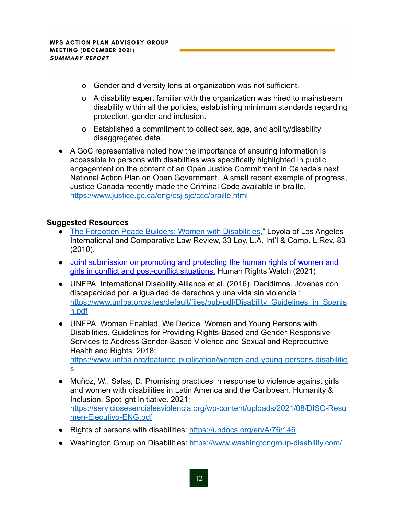- o Gender and diversity lens at organization was not sufficient.
- o A disability expert familiar with the organization was hired to mainstream disability within all the policies, establishing minimum standards regarding protection, gender and inclusion.
- o Established a commitment to collect sex, age, and ability/disability disaggregated data.
- A GoC representative noted how the importance of ensuring information is accessible to persons with disabilities was specifically highlighted in public engagement on the content of an Open Justice Commitment in Canada's next National Action Plan on Open Government. A small recent example of progress, Justice Canada recently made the Criminal Code available in braille. <https://www.justice.gc.ca/eng/csj-sjc/ccc/braille.html>

#### **Suggested Resources**

- [The Forgotten Peace Builders: Women with Disabilities,](https://womenenabled.org/pdfs/abstract-forgettenpeacebuilders.pdf)" Loyola of Los Angeles International and Comparative Law Review, 33 Loy. L.A. Int'l & Comp. L.Rev. 83 (2010).
- Joint submission on promoting and protecting the human rights of women and girls in conflict and post-conflict situations, Human Rights Watch (2021)
- UNFPA, International Disability Alliance et al. (2016). Decidimos. J[óv](https://www.unfpa.org/sites/default/files/pub-pdf/Disability_Guidelines_in_Spanish.pdf)enes con discapacidad por la igualdad de derechos y una vida sin violencia : [https://www.unfpa.org/sites/default/files/pub-pdf/Disability\\_Guidelines\\_in\\_Spanis](https://www.unfpa.org/sites/default/files/pub-pdf/Disability_Guidelines_in_Spanish.pdf) [h.pdf](https://www.unfpa.org/sites/default/files/pub-pdf/Disability_Guidelines_in_Spanish.pdf)
- UNFPA, Women Enabled, We Decide. Women and Young Persons with Disabilities. Guidelines for Providing Rights-Based and Gender-Responsive Services to Address Gender-Based Violence and Sexual and Reproductive Health and Rights, 2018: [https://www.unfpa.org/featured-publication/women-and-young-persons-disabilitie](https://www.unfpa.org/featured-publication/women-and-young-persons-disabilities) [s](https://www.unfpa.org/featured-publication/women-and-young-persons-disabilities)
- Muñoz, W., Salas, D. Promising practices in response to violence against girls and women with disabilities in Latin America and the Caribbean. Humanity & Inclusion, Spotlight Initiative. 2021: [https://serviciosesencialesviolencia.org/wp-content/uploads/2021/08/DISC-Resu](https://serviciosesencialesviolencia.org/wp-content/uploads/2021/08/DISC-Resumen-Ejecutivo-ENG.pdf) [men-Ejecutivo-ENG.pdf](https://serviciosesencialesviolencia.org/wp-content/uploads/2021/08/DISC-Resumen-Ejecutivo-ENG.pdf)
- Rights of persons with disabilities: <https://undocs.org/en/A/76/146>
- Washington Group on Disabilities: <https://www.washingtongroup-disability.com/>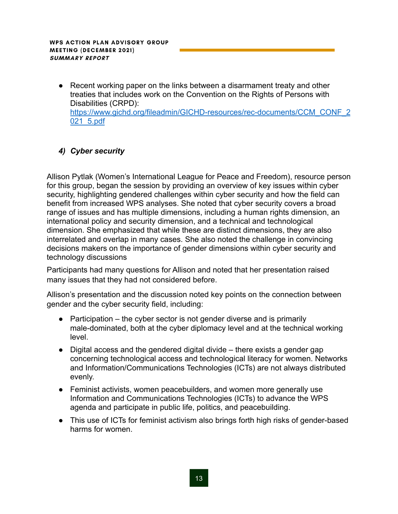● Recent working paper on the links between a disarmament treaty and other treaties that includes work on the Convention on the Rights of Persons with Disabilities (CRPD): [https://www.gichd.org/fileadmin/GICHD-resources/rec-documents/CCM\\_CONF\\_2](https://www.gichd.org/fileadmin/GICHD-resources/rec-documents/CCM_CONF_2021_5.pdf) [021\\_5.pdf](https://www.gichd.org/fileadmin/GICHD-resources/rec-documents/CCM_CONF_2021_5.pdf)

#### *4) Cyber security*

Allison Pytlak (Women's International League for Peace and Freedom), resource person for this group, began the session by providing an overview of key issues within cyber security, highlighting gendered challenges within cyber security and how the field can benefit from increased WPS analyses. She noted that cyber security covers a broad range of issues and has multiple dimensions, including a human rights dimension, an international policy and security dimension, and a technical and technological dimension. She emphasized that while these are distinct dimensions, they are also interrelated and overlap in many cases. She also noted the challenge in convincing decisions makers on the importance of gender dimensions within cyber security and technology discussions

Participants had many questions for Allison and noted that her presentation raised many issues that they had not considered before.

Allison's presentation and the discussion noted key points on the connection between gender and the cyber security field, including:

- $\bullet$  Participation the cyber sector is not gender diverse and is primarily male-dominated, both at the cyber diplomacy level and at the technical working level.
- Digital access and the gendered digital divide there exists a gender gap concerning technological access and technological literacy for women. Networks and Information/Communications Technologies (ICTs) are not always distributed evenly.
- Feminist activists, women peacebuilders, and women more generally use Information and Communications Technologies (ICTs) to advance the WPS agenda and participate in public life, politics, and peacebuilding.
- This use of ICTs for feminist activism also brings forth high risks of gender-based harms for women.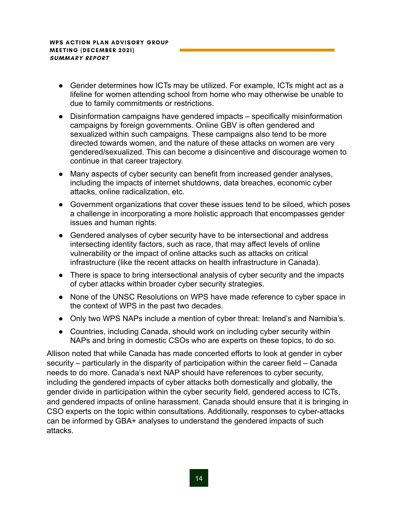- Gender determines how ICTs may be utilized. For example, ICTs might act as a lifeline for women attending school from home who may otherwise be unable to due to family commitments or restrictions.
- Disinformation campaigns have gendered impacts specifically misinformation campaigns by foreign governments. Online GBV is often gendered and sexualized within such campaigns. These campaigns also tend to be more directed towards women, and the nature of these attacks on women are very gendered/sexualized. This can become a disincentive and discourage women to continue in that career trajectory.
- Many aspects of cyber security can benefit from increased gender analyses, including the impacts of internet shutdowns, data breaches, economic cyber attacks, online radicalization, etc.
- Government organizations that cover these issues tend to be siloed, which poses a challenge in incorporating a more holistic approach that encompasses gender issues and human rights.
- Gendered analyses of cyber security have to be intersectional and address intersecting identity factors, such as race, that may affect levels of online vulnerability or the impact of online attacks such as attacks on critical infrastructure (like the recent attacks on health infrastructure in Canada).
- There is space to bring intersectional analysis of cyber security and the impacts of cyber attacks within broader cyber security strategies.
- None of the UNSC Resolutions on WPS have made reference to cyber space in the context of WPS in the past two decades.
- Only two WPS NAPs include a mention of cyber threat: Ireland's and Namibia's.
- Countries, including Canada, should work on including cyber security within NAPs and bring in domestic CSOs who are experts on these topics, to do so.

Allison noted that while Canada has made concerted efforts to look at gender in cyber security – particularly in the disparity of participation within the career field – Canada needs to do more. Canada's next NAP should have references to cyber security, including the gendered impacts of cyber attacks both domestically and globally, the gender divide in participation within the cyber security field, gendered access to ICTs, and gendered impacts of online harassment. Canada should ensure that it is bringing in CSO experts on the topic within consultations. Additionally, responses to cyber-attacks can be informed by GBA+ analyses to understand the gendered impacts of such attacks.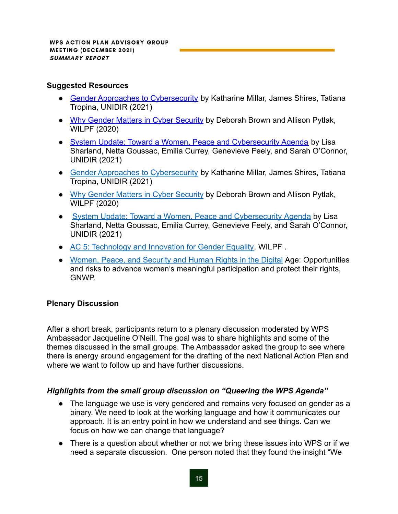#### **Suggested Resources**

- [Gender Approaches to Cybersecurity](https://unidir.org/publication/gender-approaches-cybersecurity) by Katharine Millar, James Shires, Tatiana Tropina, UNIDIR (2021)
- [Why Gender Matters in Cyber Security](https://www.wilpf.org/wp-content/uploads/2020/04/Gender-Matters-Report-Web-A4.pdf) by Deborah Brown and Allison Pytlak, WILPF (2020)
- [System Update: Toward a Women, Peace and Cybersecurity Agenda](https://www.unidir.org/publication/system-update-towards-women-peace-and-cybersecurity-agenda) by Lisa Sharland, Netta Goussac, Emilia Currey, Genevieve Feely, and Sarah O'Connor, UNIDIR (2021)
- [Gender Approaches to Cybersecurity](https://unidir.org/publication/gender-approaches-cybersecurity) by Katharine Millar, James Shires, Tatiana Tropina, UNIDIR (2021)
- [Why Gender Matters in Cyber Security](https://www.reachingcriticalwill.org/resources/publications-and-research/publications/14677-why-gender-matters-in-international-cyber-security#:~:text=Gender%20matters%20in%20international%20cyber%20security.,their%20gender%20identity%20or%20expression.) by Deborah Brown and Allison Pytlak, WILPF (2020)
- [System Update: Toward a Women, Peace and Cybersecurity](https://unidir.org/publication/system-update-towards-women-peace-and-cybersecurity-agenda) Agenda by Lisa Sharland, Netta Goussac, Emilia Currey, Genevieve Feely, and Sarah O'Connor, UNIDIR (2021)
- [AC 5: Technology and Innovation for Gender Equality,](https://www.wilpf.org/wp-content/uploads/2021/02/Action-Coalitions-and-WPS-Policy-Brief-5.pdf) WILPF.
- [Women, Peace, and Security and Human Rights in the Digital](https://gnwp.org/digitalization-research-report/) Age: Opportunities and risks to advance women's meaningful participation and protect their rights, **GNWP**

#### **Plenary Discussion**

After a short break, participants return to a plenary discussion moderated by WPS Ambassador Jacqueline O'Neill. The goal was to share highlights and some of the themes discussed in the small groups. The Ambassador asked the group to see where there is energy around engagement for the drafting of the next National Action Plan and where we want to follow up and have further discussions.

#### *Highlights from the small group discussion on "Queering the WPS Agenda"*

- The language we use is very gendered and remains very focused on gender as a binary. We need to look at the working language and how it communicates our approach. It is an entry point in how we understand and see things. Can we focus on how we can change that language?
- There is a question about whether or not we bring these issues into WPS or if we need a separate discussion. One person noted that they found the insight "We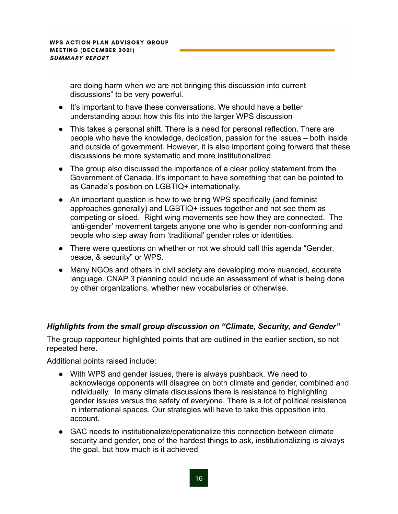are doing harm when we are not bringing this discussion into current discussions" to be very powerful.

- It's important to have these conversations. We should have a better understanding about how this fits into the larger WPS discussion
- This takes a personal shift. There is a need for personal reflection. There are people who have the knowledge, dedication, passion for the issues – both inside and outside of government. However, it is also important going forward that these discussions be more systematic and more institutionalized.
- The group also discussed the importance of a clear policy statement from the Government of Canada. It's important to have something that can be pointed to as Canada's position on LGBTIQ+ internationally.
- An important question is how to we bring WPS specifically (and feminist approaches generally) and LGBTIQ+ issues together and not see them as competing or siloed. Right wing movements see how they are connected. The 'anti-gender' movement targets anyone one who is gender non-conforming and people who step away from 'traditional' gender roles or identities.
- There were questions on whether or not we should call this agenda "Gender, peace, & security" or WPS.
- Many NGOs and others in civil society are developing more nuanced, accurate language. CNAP 3 planning could include an assessment of what is being done by other organizations, whether new vocabularies or otherwise.

#### *Highlights from the small group discussion on "Climate, Security, and Gender"*

The group rapporteur highlighted points that are outlined in the earlier section, so not repeated here.

Additional points raised include:

- With WPS and gender issues, there is always pushback. We need to acknowledge opponents will disagree on both climate and gender, combined and individually. In many climate discussions there is resistance to highlighting gender issues versus the safety of everyone. There is a lot of political resistance in international spaces. Our strategies will have to take this opposition into account.
- GAC needs to institutionalize/operationalize this connection between climate security and gender, one of the hardest things to ask, institutionalizing is always the goal, but how much is it achieved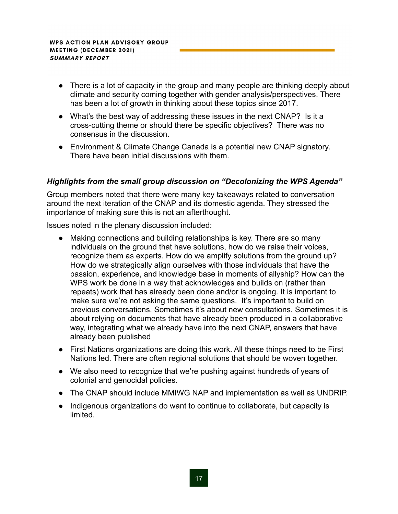- There is a lot of capacity in the group and many people are thinking deeply about climate and security coming together with gender analysis/perspectives. There has been a lot of growth in thinking about these topics since 2017.
- What's the best way of addressing these issues in the next CNAP? Is it a cross-cutting theme or should there be specific objectives? There was no consensus in the discussion.
- Environment & Climate Change Canada is a potential new CNAP signatory. There have been initial discussions with them.

#### *Highlights from the small group discussion on "Decolonizing the WPS Agenda"*

Group members noted that there were many key takeaways related to conversation around the next iteration of the CNAP and its domestic agenda. They stressed the importance of making sure this is not an afterthought.

Issues noted in the plenary discussion included:

- Making connections and building relationships is key. There are so many individuals on the ground that have solutions, how do we raise their voices, recognize them as experts. How do we amplify solutions from the ground up? How do we strategically align ourselves with those individuals that have the passion, experience, and knowledge base in moments of allyship? How can the WPS work be done in a way that acknowledges and builds on (rather than repeats) work that has already been done and/or is ongoing. It is important to make sure we're not asking the same questions. It's important to build on previous conversations. Sometimes it's about new consultations. Sometimes it is about relying on documents that have already been produced in a collaborative way, integrating what we already have into the next CNAP, answers that have already been published
- First Nations organizations are doing this work. All these things need to be First Nations led. There are often regional solutions that should be woven together.
- We also need to recognize that we're pushing against hundreds of years of colonial and genocidal policies.
- The CNAP should include MMIWG NAP and implementation as well as UNDRIP.
- Indigenous organizations do want to continue to collaborate, but capacity is limited.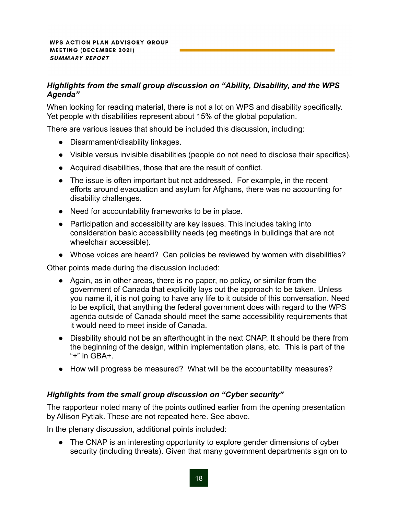#### *Highlights from the small group discussion on "Ability, Disability, and the WPS Agenda"*

When looking for reading material, there is not a lot on WPS and disability specifically. Yet people with disabilities represent about 15% of the global population.

There are various issues that should be included this discussion, including:

- Disarmament/disability linkages.
- Visible versus invisible disabilities (people do not need to disclose their specifics).
- Acquired disabilities, those that are the result of conflict.
- The issue is often important but not addressed. For example, in the recent efforts around evacuation and asylum for Afghans, there was no accounting for disability challenges.
- Need for accountability frameworks to be in place.
- Participation and accessibility are key issues. This includes taking into consideration basic accessibility needs (eg meetings in buildings that are not wheelchair accessible).
- Whose voices are heard? Can policies be reviewed by women with disabilities?

Other points made during the discussion included:

- Again, as in other areas, there is no paper, no policy, or similar from the government of Canada that explicitly lays out the approach to be taken. Unless you name it, it is not going to have any life to it outside of this conversation. Need to be explicit, that anything the federal government does with regard to the WPS agenda outside of Canada should meet the same accessibility requirements that it would need to meet inside of Canada.
- Disability should not be an afterthought in the next CNAP. It should be there from the beginning of the design, within implementation plans, etc. This is part of the " $+$ " in GBA $+$ .
- How will progress be measured? What will be the accountability measures?

#### *Highlights from the small group discussion on "Cyber security"*

The rapporteur noted many of the points outlined earlier from the opening presentation by Allison Pytlak. These are not repeated here. See above.

In the plenary discussion, additional points included:

• The CNAP is an interesting opportunity to explore gender dimensions of cyber security (including threats). Given that many government departments sign on to